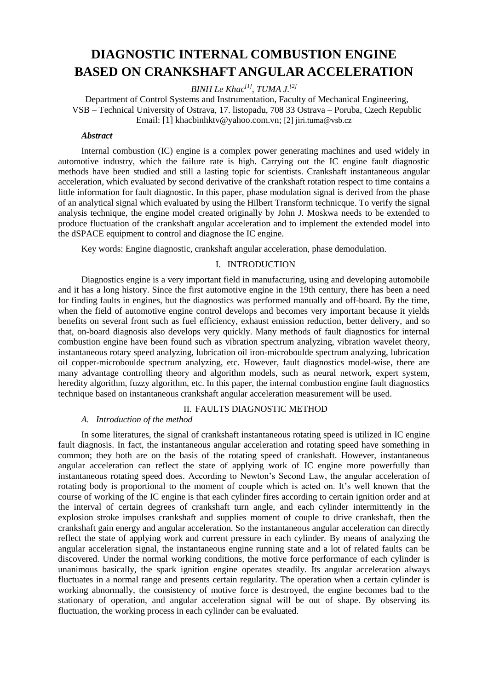# **DIAGNOSTIC INTERNAL COMBUSTION ENGINE BASED ON CRANKSHAFT ANGULAR ACCELERATION**

*BINH Le Khac[1], TUMA J.[2]*

Department of Control Systems and Instrumentation, Faculty of Mechanical Engineering, VSB – Technical University of Ostrava, 17. listopadu, 708 33 Ostrava – Poruba, Czech Republic Email: [1] [khacbinhktv@yahoo.com.vn;](mailto:khacbinhktv@yahoo.com.vn) [2] jiri.tuma@vsb.cz

#### *Abstract*

Internal combustion (IC) engine is a complex power generating machines and used widely in automotive industry, which the failure rate is high. Carrying out the IC engine fault diagnostic methods have been studied and still a lasting topic for scientists. Crankshaft instantaneous angular acceleration, which evaluated by second derivative of the crankshaft rotation respect to time contains a little information for fault diagnostic. In this paper, phase modulation signal is derived from the phase of an analytical signal which evaluated by using the Hilbert Transform technicque. To verify the signal analysis technique, the engine model created originally by John J. Moskwa needs to be extended to produce fluctuation of the crankshaft angular acceleration and to implement the extended model into the dSPACE equipment to control and diagnose the IC engine.

Key words: Engine diagnostic, crankshaft angular acceleration, phase demodulation.

### I. INTRODUCTION

Diagnostics engine is a very important field in manufacturing, using and developing automobile and it has a long history. Since the first automotive engine in the 19th century, there has been a need for finding faults in engines, but the diagnostics was performed manually and off-board. By the time, when the field of automotive engine control develops and becomes very important because it yields benefits on several front such as fuel efficiency, exhaust emission reduction, better delivery, and so that, on-board diagnosis also develops very quickly. Many methods of fault diagnostics for internal combustion engine have been found such as vibration spectrum analyzing, vibration wavelet theory, instantaneous rotary speed analyzing, lubrication oil iron-microboulde spectrum analyzing, lubrication oil copper-microboulde spectrum analyzing, etc. However, fault diagnostics model-wise, there are many advantage controlling theory and algorithm models, such as neural network, expert system, heredity algorithm, fuzzy algorithm, etc. In this paper, the internal combustion engine fault diagnostics technique based on instantaneous crankshaft angular acceleration measurement will be used.

## II. FAULTS DIAGNOSTIC METHOD

## *A. Introduction of the method*

In some literatures, the signal of crankshaft instantaneous rotating speed is utilized in IC engine fault diagnosis. In fact, the instantaneous angular acceleration and rotating speed have something in common; they both are on the basis of the rotating speed of crankshaft. However, instantaneous angular acceleration can reflect the state of applying work of IC engine more powerfully than instantaneous rotating speed does. According to Newton's Second Law, the angular acceleration of rotating body is proportional to the moment of couple which is acted on. It's well known that the course of working of the IC engine is that each cylinder fires according to certain ignition order and at the interval of certain degrees of crankshaft turn angle, and each cylinder intermittently in the explosion stroke impulses crankshaft and supplies moment of couple to drive crankshaft, then the crankshaft gain energy and angular acceleration. So the instantaneous angular acceleration can directly reflect the state of applying work and current pressure in each cylinder. By means of analyzing the angular acceleration signal, the instantaneous engine running state and a lot of related faults can be discovered. Under the normal working conditions, the motive force performance of each cylinder is unanimous basically, the spark ignition engine operates steadily. Its angular acceleration always fluctuates in a normal range and presents certain regularity. The operation when a certain cylinder is working abnormally, the consistency of motive force is destroyed, the engine becomes bad to the stationary of operation, and angular acceleration signal will be out of shape. By observing its fluctuation, the working process in each cylinder can be evaluated.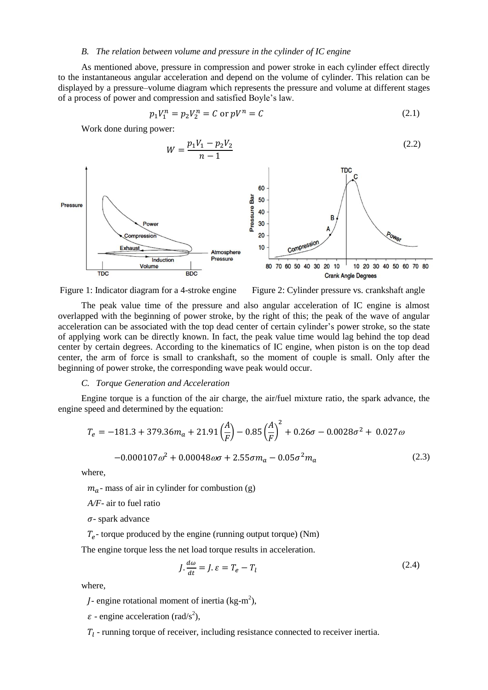#### *B. The relation between volume and pressure in the cylinder of IC engine*

As mentioned above, pressure in compression and power stroke in each cylinder effect directly to the instantaneous angular acceleration and depend on the volume of cylinder. This relation can be displayed by a pressure–volume diagram which represents the pressure and volume at different stages of a process of power and compression and satisfied Boyle's law.

$$
p_1 V_1^n = p_2 V_2^n = C \text{ or } pV^n = C \tag{2.1}
$$

Work done during power:





The peak value time of the pressure and also angular acceleration of IC engine is almost overlapped with the beginning of power stroke, by the right of this; the peak of the wave of angular acceleration can be associated with the top dead center of certain cylinder's power stroke, so the state of applying work can be directly known. In fact, the peak value time would lag behind the top dead center by certain degrees. According to the kinematics of IC engine, when piston is on the top dead center, the arm of force is small to crankshaft, so the moment of couple is small. Only after the beginning of power stroke, the corresponding wave peak would occur.

#### *C. Torque Generation and Acceleration*

Engine torque is a function of the air charge, the air/fuel mixture ratio, the spark advance, the engine speed and determined by the equation:

$$
T_e = -181.3 + 379.36m_a + 21.91\left(\frac{A}{F}\right) - 0.85\left(\frac{A}{F}\right)^2 + 0.26\sigma - 0.0028\sigma^2 + 0.027\omega
$$

$$
-0.000107\omega^2 + 0.00048\omega\sigma + 2.55\sigma m_a - 0.05\sigma^2 m_a \tag{2.3}
$$

where,

 $m_a$ - mass of air in cylinder for combustion (g)

*A/F*- air to fuel ratio

 $\sigma$ - spark advance

 $T_e$ - torque produced by the engine (running output torque) (Nm)

The engine torque less the net load torque results in acceleration.

$$
J \cdot \frac{d\omega}{dt} = J \cdot \varepsilon = T_e - T_l \tag{2.4}
$$

where,

*J*- engine rotational moment of inertia  $(kg-m^2)$ ,

 $\varepsilon$  - engine acceleration (rad/s<sup>2</sup>),

 $T_l$  - running torque of receiver, including resistance connected to receiver inertia.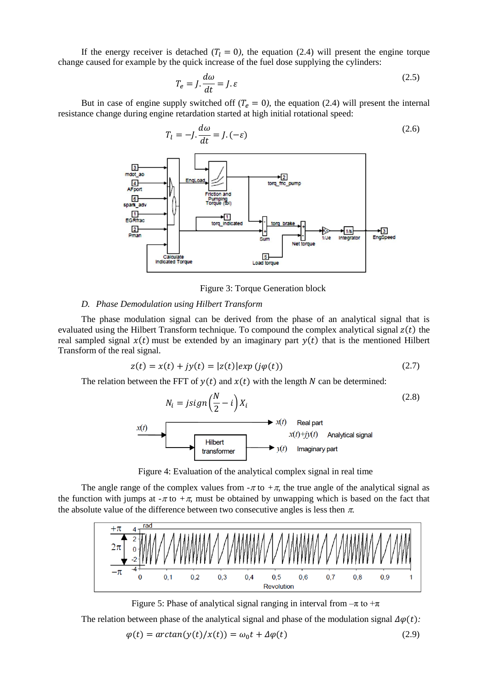If the energy receiver is detached  $(T_l = 0)$ , the equation (2.4) will present the engine torque change caused for example by the quick increase of the fuel dose supplying the cylinders:

$$
T_e = J \cdot \frac{d\omega}{dt} = J \cdot \varepsilon \tag{2.5}
$$

But in case of engine supply switched off  $(T_e = 0)$ , the equation (2.4) will present the internal resistance change during engine retardation started at high initial rotational speed:



Figure 3: Torque Generation block

#### *D. Phase Demodulation using Hilbert Transform*

The phase modulation signal can be derived from the phase of an analytical signal that is evaluated using the Hilbert Transform technique. To compound the complex analytical signal  $z(t)$  the real sampled signal  $x(t)$  must be extended by an imaginary part  $y(t)$  that is the mentioned Hilbert Transform of the real signal.

$$
z(t) = x(t) + jy(t) = |z(t)| \exp(j\varphi(t))
$$
\n(2.7)

The relation between the FFT of  $y(t)$  and  $x(t)$  with the length N can be determined:

$$
N_i = jsign\left(\frac{N}{2} - i\right)X_i
$$
\n(2.8)



Figure 4: Evaluation of the analytical complex signal in real time

The angle range of the complex values from  $-\pi$  to  $+\pi$ , the true angle of the analytical signal as the function with jumps at  $-\pi$  to  $+\pi$ , must be obtained by unwapping which is based on the fact that the absolute value of the difference between two consecutive angles is less then  $\pi$ .



Figure 5: Phase of analytical signal ranging in interval from  $-\pi$  to  $+\pi$ 

The relation between phase of the analytical signal and phase of the modulation signal  $\Delta \varphi(t)$ .

$$
\varphi(t) = \arctan(y(t)/x(t)) = \omega_0 t + \Delta \varphi(t)
$$
\n(2.9)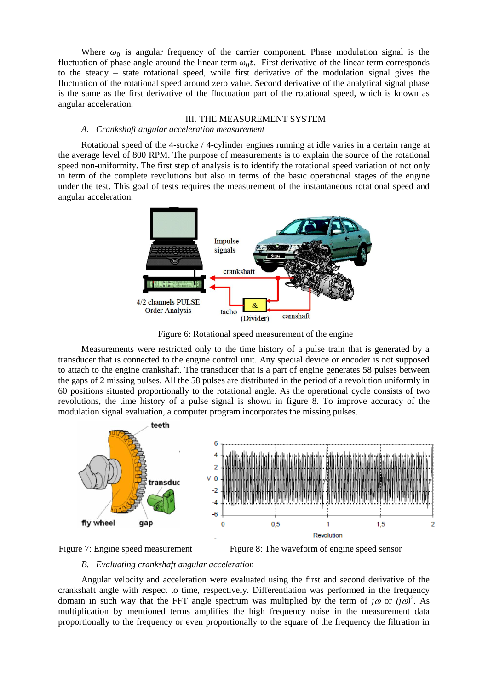Where  $\omega_0$  is angular frequency of the carrier component. Phase modulation signal is the fluctuation of phase angle around the linear term  $\omega_0 t$ . First derivative of the linear term corresponds to the steady – state rotational speed, while first derivative of the modulation signal gives the fluctuation of the rotational speed around zero value. Second derivative of the analytical signal phase is the same as the first derivative of the fluctuation part of the rotational speed, which is known as angular acceleration.

#### III. THE MEASUREMENT SYSTEM

## *A. Crankshaft angular acceleration measurement*

Rotational speed of the 4-stroke / 4-cylinder engines running at idle varies in a certain range at the average level of 800 RPM. The purpose of measurements is to explain the source of the rotational speed non-uniformity. The first step of analysis is to identify the rotational speed variation of not only in term of the complete revolutions but also in terms of the basic operational stages of the engine under the test. This goal of tests requires the measurement of the instantaneous rotational speed and angular acceleration.



Figure 6: Rotational speed measurement of the engine

Measurements were restricted only to the time history of a pulse train that is generated by a transducer that is connected to the engine control unit. Any special device or encoder is not supposed to attach to the engine crankshaft. The transducer that is a part of engine generates 58 pulses between the gaps of 2 missing pulses. All the 58 pulses are distributed in the period of a revolution uniformly in 60 positions situated proportionally to the rotational angle. As the operational cycle consists of two revolutions, the time history of a pulse signal is shown in figure 8. To improve accuracy of the modulation signal evaluation, a computer program incorporates the missing pulses.





# *B. Evaluating crankshaft angular acceleration*

Angular velocity and acceleration were evaluated using the first and second derivative of the crankshaft angle with respect to time, respectively. Differentiation was performed in the frequency domain in such way that the FFT angle spectrum was multiplied by the term of  $j\omega$  or  $(j\omega)^2$ . As multiplication by mentioned terms amplifies the high frequency noise in the measurement data proportionally to the frequency or even proportionally to the square of the frequency the filtration in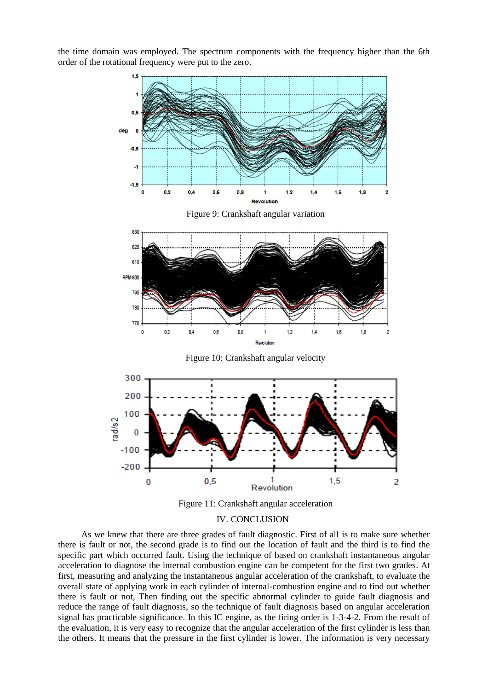the time domain was employed. The spectrum components with the frequency higher than the 6th order of the rotational frequency were put to the zero.



#### IV. CONCLUSION

As we knew that there are three grades of fault diagnostic. First of all is to make sure whether there is fault or not, the second grade is to find out the location of fault and the third is to find the specific part which occurred fault. Using the technique of based on crankshaft instantaneous angular acceleration to diagnose the internal combustion engine can be competent for the first two grades. At first, measuring and analyzing the instantaneous angular acceleration of the crankshaft, to evaluate the overall state of applying work in each cylinder of internal-combustion engine and to find out whether there is fault or not, Then finding out the specific abnormal cylinder to guide fault diagnosis and reduce the range of fault diagnosis, so the technique of fault diagnosis based on angular acceleration signal has practicable significance. In this IC engine, as the firing order is 1-3-4-2. From the result of the evaluation, it is very easy to recognize that the angular acceleration of the first cylinder is less than the others. It means that the pressure in the first cylinder is lower. The information is very necessary